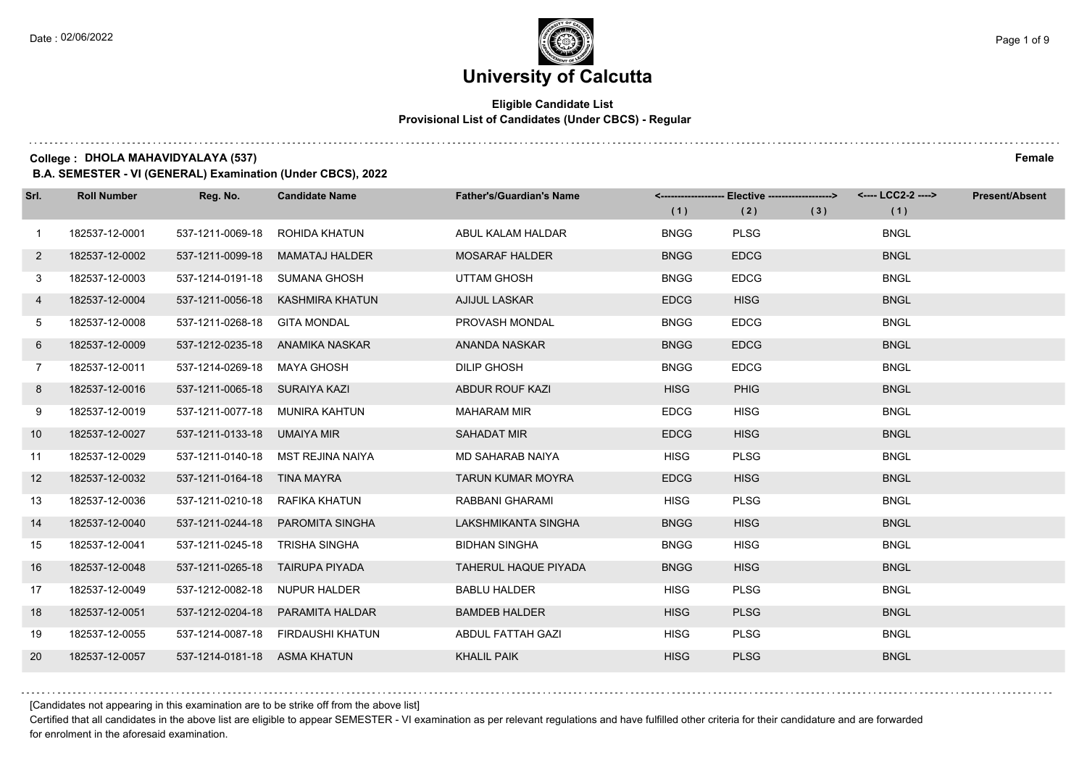#### **Eligible Candidate List Provisional List of Candidates (Under CBCS) - Regular**

**College : DHOLA MAHAVIDYALAYA (537) Female**

**B.A. SEMESTER - VI (GENERAL) Examination (Under CBCS), 2022**

| Srl.           | <b>Roll Number</b> | Reg. No.                        | <b>Candidate Name</b>             | <b>Father's/Guardian's Name</b> | (1)         | <------------------- Elective ------------------><br>(2) | (3) | <---- LCC2-2 ----><br>(1) | <b>Present/Absent</b> |
|----------------|--------------------|---------------------------------|-----------------------------------|---------------------------------|-------------|----------------------------------------------------------|-----|---------------------------|-----------------------|
| $\mathbf{1}$   | 182537-12-0001     | 537-1211-0069-18                | ROHIDA KHATUN                     | ABUL KALAM HALDAR               | <b>BNGG</b> | <b>PLSG</b>                                              |     | <b>BNGL</b>               |                       |
| $\mathbf{2}$   | 182537-12-0002     | 537-1211-0099-18                | <b>MAMATAJ HALDER</b>             | <b>MOSARAF HALDER</b>           | <b>BNGG</b> | <b>EDCG</b>                                              |     | <b>BNGL</b>               |                       |
| 3              | 182537-12-0003     | 537-1214-0191-18 SUMANA GHOSH   |                                   | <b>UTTAM GHOSH</b>              | <b>BNGG</b> | <b>EDCG</b>                                              |     | <b>BNGL</b>               |                       |
| 4              | 182537-12-0004     |                                 | 537-1211-0056-18 KASHMIRA KHATUN  | <b>AJIJUL LASKAR</b>            | <b>EDCG</b> | <b>HISG</b>                                              |     | <b>BNGL</b>               |                       |
| 5              | 182537-12-0008     | 537-1211-0268-18 GITA MONDAL    |                                   | PROVASH MONDAL                  | <b>BNGG</b> | <b>EDCG</b>                                              |     | <b>BNGL</b>               |                       |
| 6              | 182537-12-0009     | 537-1212-0235-18                | ANAMIKA NASKAR                    | ANANDA NASKAR                   | <b>BNGG</b> | <b>EDCG</b>                                              |     | <b>BNGL</b>               |                       |
| $\overline{7}$ | 182537-12-0011     | 537-1214-0269-18 MAYA GHOSH     |                                   | <b>DILIP GHOSH</b>              | <b>BNGG</b> | <b>EDCG</b>                                              |     | <b>BNGL</b>               |                       |
| 8              | 182537-12-0016     | 537-1211-0065-18 SURAIYA KAZI   |                                   | ABDUR ROUF KAZI                 | <b>HISG</b> | <b>PHIG</b>                                              |     | <b>BNGL</b>               |                       |
| 9              | 182537-12-0019     |                                 | 537-1211-0077-18 MUNIRA KAHTUN    | <b>MAHARAM MIR</b>              | <b>EDCG</b> | <b>HISG</b>                                              |     | <b>BNGL</b>               |                       |
| 10             | 182537-12-0027     | 537-1211-0133-18 UMAIYA MIR     |                                   | SAHADAT MIR                     | <b>EDCG</b> | <b>HISG</b>                                              |     | <b>BNGL</b>               |                       |
| 11             | 182537-12-0029     |                                 | 537-1211-0140-18 MST REJINA NAIYA | MD SAHARAB NAIYA                | <b>HISG</b> | <b>PLSG</b>                                              |     | <b>BNGL</b>               |                       |
| 12             | 182537-12-0032     | 537-1211-0164-18 TINA MAYRA     |                                   | <b>TARUN KUMAR MOYRA</b>        | <b>EDCG</b> | <b>HISG</b>                                              |     | <b>BNGL</b>               |                       |
| 13             | 182537-12-0036     | 537-1211-0210-18 RAFIKA KHATUN  |                                   | RABBANI GHARAMI                 | <b>HISG</b> | <b>PLSG</b>                                              |     | <b>BNGL</b>               |                       |
| 14             | 182537-12-0040     |                                 | 537-1211-0244-18 PAROMITA SINGHA  | LAKSHMIKANTA SINGHA             | <b>BNGG</b> | <b>HISG</b>                                              |     | <b>BNGL</b>               |                       |
| 15             | 182537-12-0041     | 537-1211-0245-18 TRISHA SINGHA  |                                   | <b>BIDHAN SINGHA</b>            | <b>BNGG</b> | <b>HISG</b>                                              |     | <b>BNGL</b>               |                       |
| 16             | 182537-12-0048     | 537-1211-0265-18 TAIRUPA PIYADA |                                   | <b>TAHERUL HAQUE PIYADA</b>     | <b>BNGG</b> | <b>HISG</b>                                              |     | <b>BNGL</b>               |                       |
| 17             | 182537-12-0049     | 537-1212-0082-18                | NUPUR HALDER                      | <b>BABLU HALDER</b>             | <b>HISG</b> | <b>PLSG</b>                                              |     | <b>BNGL</b>               |                       |
| 18             | 182537-12-0051     | 537-1212-0204-18                | PARAMITA HALDAR                   | <b>BAMDEB HALDER</b>            | <b>HISG</b> | <b>PLSG</b>                                              |     | <b>BNGL</b>               |                       |
| 19             | 182537-12-0055     |                                 | 537-1214-0087-18 FIRDAUSHI KHATUN | ABDUL FATTAH GAZI               | <b>HISG</b> | <b>PLSG</b>                                              |     | <b>BNGL</b>               |                       |
| 20             | 182537-12-0057     | 537-1214-0181-18 ASMA KHATUN    |                                   | <b>KHALIL PAIK</b>              | <b>HISG</b> | <b>PLSG</b>                                              |     | <b>BNGL</b>               |                       |

[Candidates not appearing in this examination are to be strike off from the above list]

Certified that all candidates in the above list are eligible to appear SEMESTER - VI examination as per relevant regulations and have fulfilled other criteria for their candidature and are forwarded for enrolment in the aforesaid examination.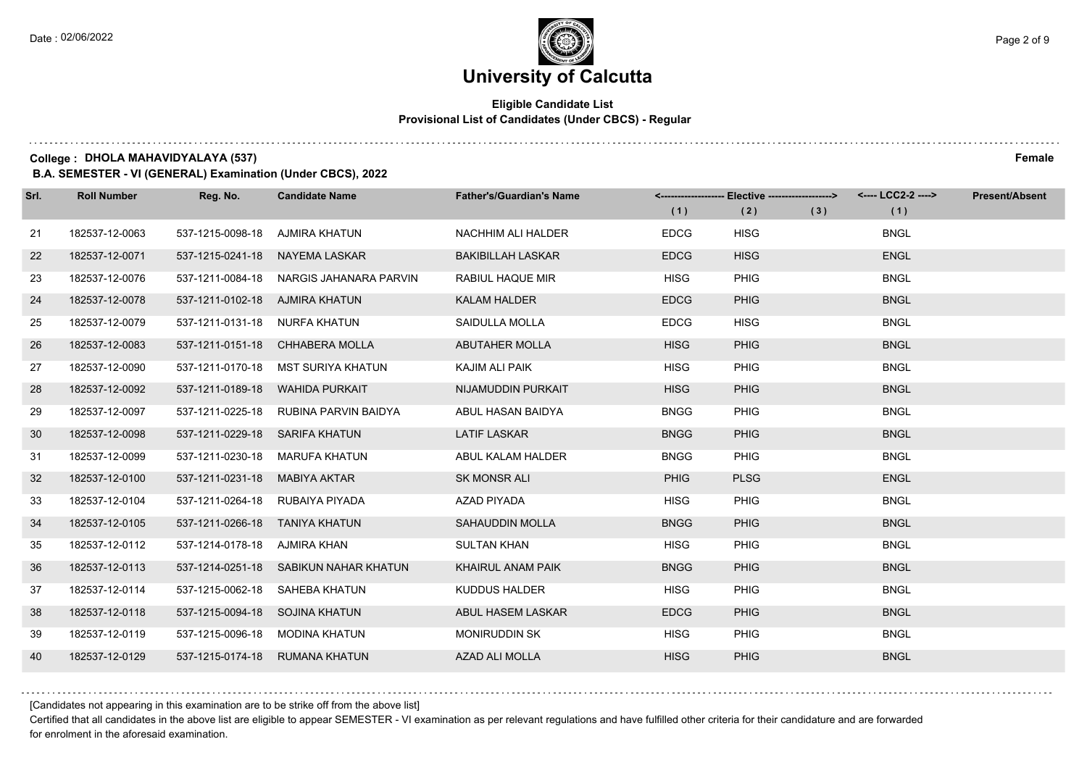$1.111$ 

### **University of Calcutta**

#### **Eligible Candidate List Provisional List of Candidates (Under CBCS) - Regular**

**College : DHOLA MAHAVIDYALAYA (537) Female**

**B.A. SEMESTER - VI (GENERAL) Examination (Under CBCS), 2022**

| Srl. | <b>Roll Number</b> | Reg. No.                       | <b>Candidate Name</b>              | <b>Father's/Guardian's Name</b> |             | <-------------------- Elective -------------------> |     | <---- LCC2-2 ----> | <b>Present/Absent</b> |
|------|--------------------|--------------------------------|------------------------------------|---------------------------------|-------------|-----------------------------------------------------|-----|--------------------|-----------------------|
|      |                    |                                |                                    |                                 | (1)         | (2)                                                 | (3) | (1)                |                       |
| 21   | 182537-12-0063     | 537-1215-0098-18               | AJMIRA KHATUN                      | <b>NACHHIM ALI HALDER</b>       | <b>EDCG</b> | <b>HISG</b>                                         |     | <b>BNGL</b>        |                       |
| 22   | 182537-12-0071     | 537-1215-0241-18               | NAYEMA LASKAR                      | <b>BAKIBILLAH LASKAR</b>        | <b>EDCG</b> | <b>HISG</b>                                         |     | <b>ENGL</b>        |                       |
| 23   | 182537-12-0076     | 537-1211-0084-18               | NARGIS JAHANARA PARVIN             | RABIUL HAQUE MIR                | <b>HISG</b> | <b>PHIG</b>                                         |     | <b>BNGL</b>        |                       |
| 24   | 182537-12-0078     | 537-1211-0102-18 AJMIRA KHATUN |                                    | <b>KALAM HALDER</b>             | <b>EDCG</b> | <b>PHIG</b>                                         |     | <b>BNGL</b>        |                       |
| 25   | 182537-12-0079     | 537-1211-0131-18               | NURFA KHATUN                       | SAIDULLA MOLLA                  | <b>EDCG</b> | <b>HISG</b>                                         |     | <b>BNGL</b>        |                       |
| 26   | 182537-12-0083     |                                | 537-1211-0151-18 CHHABERA MOLLA    | <b>ABUTAHER MOLLA</b>           | <b>HISG</b> | <b>PHIG</b>                                         |     | <b>BNGL</b>        |                       |
| 27   | 182537-12-0090     |                                | 537-1211-0170-18 MST SURIYA KHATUN | KAJIM ALI PAIK                  | <b>HISG</b> | <b>PHIG</b>                                         |     | <b>BNGL</b>        |                       |
| 28   | 182537-12-0092     | 537-1211-0189-18               | <b>WAHIDA PURKAIT</b>              | NIJAMUDDIN PURKAIT              | <b>HISG</b> | <b>PHIG</b>                                         |     | <b>BNGL</b>        |                       |
| 29   | 182537-12-0097     | 537-1211-0225-18               | RUBINA PARVIN BAIDYA               | ABUL HASAN BAIDYA               | <b>BNGG</b> | <b>PHIG</b>                                         |     | <b>BNGL</b>        |                       |
| 30   | 182537-12-0098     | 537-1211-0229-18 SARIFA KHATUN |                                    | <b>LATIF LASKAR</b>             | <b>BNGG</b> | <b>PHIG</b>                                         |     | <b>BNGL</b>        |                       |
| 31   | 182537-12-0099     | 537-1211-0230-18               | MARUFA KHATUN                      | ABUL KALAM HALDER               | <b>BNGG</b> | <b>PHIG</b>                                         |     | <b>BNGL</b>        |                       |
| 32   | 182537-12-0100     | 537-1211-0231-18               | <b>MABIYA AKTAR</b>                | <b>SK MONSR ALI</b>             | <b>PHIG</b> | <b>PLSG</b>                                         |     | <b>ENGL</b>        |                       |
| 33   | 182537-12-0104     | 537-1211-0264-18               | RUBAIYA PIYADA                     | <b>AZAD PIYADA</b>              | <b>HISG</b> | <b>PHIG</b>                                         |     | <b>BNGL</b>        |                       |
| 34   | 182537-12-0105     | 537-1211-0266-18 TANIYA KHATUN |                                    | <b>SAHAUDDIN MOLLA</b>          | <b>BNGG</b> | <b>PHIG</b>                                         |     | <b>BNGL</b>        |                       |
| 35   | 182537-12-0112     | 537-1214-0178-18               | AJMIRA KHAN                        | <b>SULTAN KHAN</b>              | <b>HISG</b> | <b>PHIG</b>                                         |     | <b>BNGL</b>        |                       |
| 36   | 182537-12-0113     | 537-1214-0251-18               | SABIKUN NAHAR KHATUN               | KHAIRUL ANAM PAIK               | <b>BNGG</b> | <b>PHIG</b>                                         |     | <b>BNGL</b>        |                       |
| 37   | 182537-12-0114     | 537-1215-0062-18               | SAHEBA KHATUN                      | <b>KUDDUS HALDER</b>            | <b>HISG</b> | <b>PHIG</b>                                         |     | <b>BNGL</b>        |                       |
| 38   | 182537-12-0118     | 537-1215-0094-18 SOJINA KHATUN |                                    | ABUL HASEM LASKAR               | <b>EDCG</b> | <b>PHIG</b>                                         |     | <b>BNGL</b>        |                       |
| 39   | 182537-12-0119     | 537-1215-0096-18 MODINA KHATUN |                                    | <b>MONIRUDDIN SK</b>            | <b>HISG</b> | <b>PHIG</b>                                         |     | <b>BNGL</b>        |                       |
| 40   | 182537-12-0129     | 537-1215-0174-18               | <b>RUMANA KHATUN</b>               | <b>AZAD ALI MOLLA</b>           | <b>HISG</b> | <b>PHIG</b>                                         |     | <b>BNGL</b>        |                       |

[Candidates not appearing in this examination are to be strike off from the above list]

Certified that all candidates in the above list are eligible to appear SEMESTER - VI examination as per relevant regulations and have fulfilled other criteria for their candidature and are forwarded for enrolment in the aforesaid examination.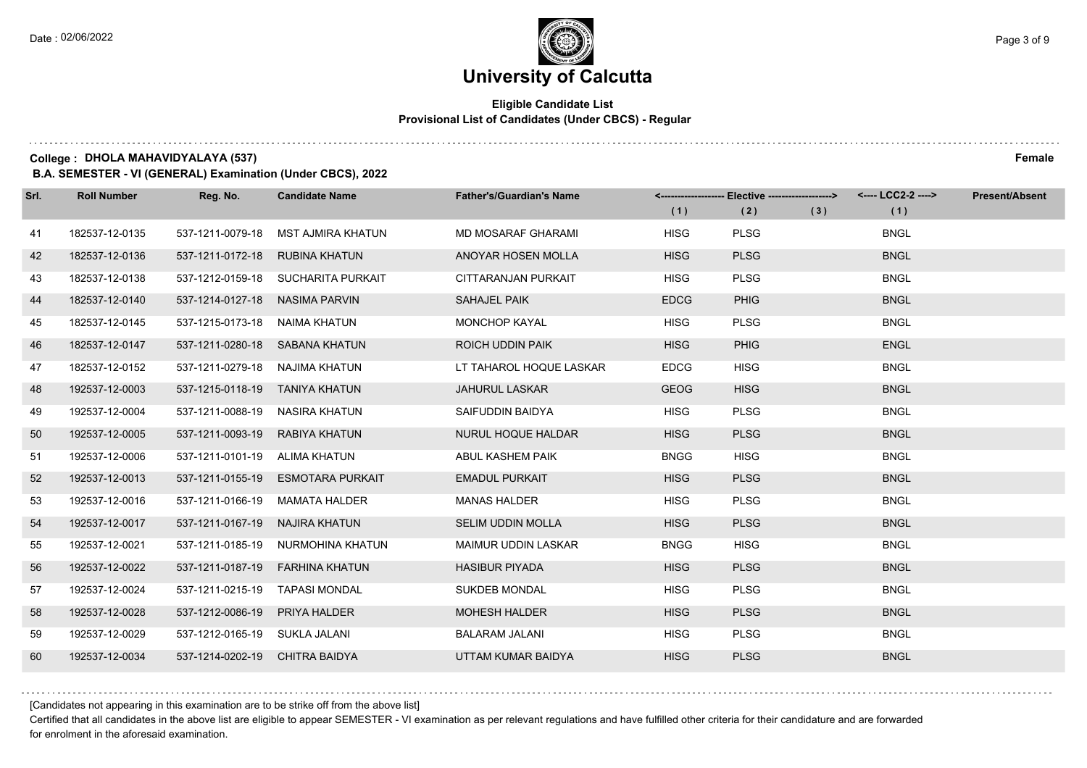#### **Eligible Candidate List Provisional List of Candidates (Under CBCS) - Regular**

**College : DHOLA MAHAVIDYALAYA (537) Female**

**B.A. SEMESTER - VI (GENERAL) Examination (Under CBCS), 2022**

| Srl. | <b>Roll Number</b> | Reg. No.                       | <b>Candidate Name</b>              | <b>Father's/Guardian's Name</b> | (1)         | <-------------------- Elective ------------------><br>(2) | (3) | <---- LCC2-2 ----><br>(1) | <b>Present/Absent</b> |
|------|--------------------|--------------------------------|------------------------------------|---------------------------------|-------------|-----------------------------------------------------------|-----|---------------------------|-----------------------|
| 41   | 182537-12-0135     | 537-1211-0079-18               | MST AJMIRA KHATUN                  | <b>MD MOSARAF GHARAMI</b>       | <b>HISG</b> | <b>PLSG</b>                                               |     | <b>BNGL</b>               |                       |
| 42   | 182537-12-0136     | 537-1211-0172-18               | RUBINA KHATUN                      | ANOYAR HOSEN MOLLA              | <b>HISG</b> | <b>PLSG</b>                                               |     | <b>BNGL</b>               |                       |
| 43   | 182537-12-0138     |                                | 537-1212-0159-18 SUCHARITA PURKAIT | CITTARANJAN PURKAIT             | <b>HISG</b> | <b>PLSG</b>                                               |     | <b>BNGL</b>               |                       |
| 44   | 182537-12-0140     | 537-1214-0127-18 NASIMA PARVIN |                                    | SAHAJEL PAIK                    | <b>EDCG</b> | <b>PHIG</b>                                               |     | <b>BNGL</b>               |                       |
| 45   | 182537-12-0145     | 537-1215-0173-18               | NAIMA KHATUN                       | <b>MONCHOP KAYAL</b>            | <b>HISG</b> | <b>PLSG</b>                                               |     | <b>BNGL</b>               |                       |
| 46   | 182537-12-0147     | 537-1211-0280-18               | SABANA KHATUN                      | <b>ROICH UDDIN PAIK</b>         | <b>HISG</b> | <b>PHIG</b>                                               |     | <b>ENGL</b>               |                       |
| 47   | 182537-12-0152     | 537-1211-0279-18 NAJIMA KHATUN |                                    | LT TAHAROL HOQUE LASKAR         | <b>EDCG</b> | <b>HISG</b>                                               |     | <b>BNGL</b>               |                       |
| 48   | 192537-12-0003     | 537-1215-0118-19 TANIYA KHATUN |                                    | <b>JAHURUL LASKAR</b>           | <b>GEOG</b> | <b>HISG</b>                                               |     | <b>BNGL</b>               |                       |
| 49   | 192537-12-0004     | 537-1211-0088-19               | NASIRA KHATUN                      | SAIFUDDIN BAIDYA                | <b>HISG</b> | <b>PLSG</b>                                               |     | <b>BNGL</b>               |                       |
| 50   | 192537-12-0005     | 537-1211-0093-19               | RABIYA KHATUN                      | <b>NURUL HOQUE HALDAR</b>       | <b>HISG</b> | <b>PLSG</b>                                               |     | <b>BNGL</b>               |                       |
| 51   | 192537-12-0006     | 537-1211-0101-19 ALIMA KHATUN  |                                    | ABUL KASHEM PAIK                | <b>BNGG</b> | <b>HISG</b>                                               |     | <b>BNGL</b>               |                       |
| 52   | 192537-12-0013     | 537-1211-0155-19               | ESMOTARA PURKAIT                   | <b>EMADUL PURKAIT</b>           | <b>HISG</b> | <b>PLSG</b>                                               |     | <b>BNGL</b>               |                       |
| 53   | 192537-12-0016     | 537-1211-0166-19               | MAMATA HALDER                      | <b>MANAS HALDER</b>             | <b>HISG</b> | <b>PLSG</b>                                               |     | <b>BNGL</b>               |                       |
| 54   | 192537-12-0017     | 537-1211-0167-19               | NAJIRA KHATUN                      | <b>SELIM UDDIN MOLLA</b>        | <b>HISG</b> | <b>PLSG</b>                                               |     | <b>BNGL</b>               |                       |
| 55   | 192537-12-0021     |                                | 537-1211-0185-19 NURMOHINA KHATUN  | <b>MAIMUR UDDIN LASKAR</b>      | <b>BNGG</b> | <b>HISG</b>                                               |     | <b>BNGL</b>               |                       |
| 56   | 192537-12-0022     |                                | 537-1211-0187-19 FARHINA KHATUN    | <b>HASIBUR PIYADA</b>           | <b>HISG</b> | <b>PLSG</b>                                               |     | <b>BNGL</b>               |                       |
| 57   | 192537-12-0024     | 537-1211-0215-19               | TAPASI MONDAL                      | <b>SUKDEB MONDAL</b>            | <b>HISG</b> | <b>PLSG</b>                                               |     | <b>BNGL</b>               |                       |
| 58   | 192537-12-0028     | 537-1212-0086-19               | <b>PRIYA HALDER</b>                | <b>MOHESH HALDER</b>            | <b>HISG</b> | <b>PLSG</b>                                               |     | <b>BNGL</b>               |                       |
| 59   | 192537-12-0029     | 537-1212-0165-19 SUKLA JALANI  |                                    | <b>BALARAM JALANI</b>           | <b>HISG</b> | <b>PLSG</b>                                               |     | <b>BNGL</b>               |                       |
| 60   | 192537-12-0034     | 537-1214-0202-19 CHITRA BAIDYA |                                    | UTTAM KUMAR BAIDYA              | <b>HISG</b> | <b>PLSG</b>                                               |     | <b>BNGL</b>               |                       |

[Candidates not appearing in this examination are to be strike off from the above list]

Certified that all candidates in the above list are eligible to appear SEMESTER - VI examination as per relevant regulations and have fulfilled other criteria for their candidature and are forwarded for enrolment in the aforesaid examination.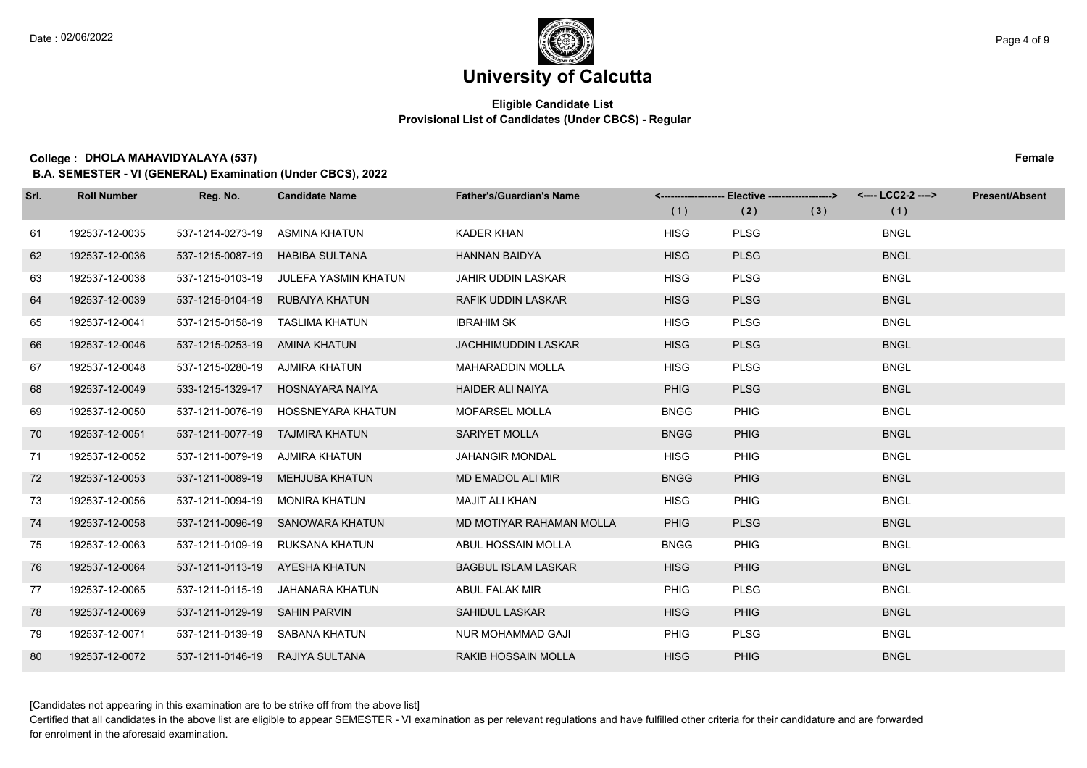#### **Eligible Candidate List Provisional List of Candidates (Under CBCS) - Regular**

**College : DHOLA MAHAVIDYALAYA (537) Female**

**B.A. SEMESTER - VI (GENERAL) Examination (Under CBCS), 2022**

| Srl. | <b>Roll Number</b> | Reg. No.                       | <b>Candidate Name</b>              | <b>Father's/Guardian's Name</b> | (1)         | <-------------------- Elective -------------------><br>(2) | (3) | <---- LCC2-2 ----><br>(1) | <b>Present/Absent</b> |
|------|--------------------|--------------------------------|------------------------------------|---------------------------------|-------------|------------------------------------------------------------|-----|---------------------------|-----------------------|
|      |                    |                                |                                    |                                 |             |                                                            |     |                           |                       |
| 61   | 192537-12-0035     | 537-1214-0273-19               | ASMINA KHATUN                      | KADER KHAN                      | <b>HISG</b> | <b>PLSG</b>                                                |     | <b>BNGL</b>               |                       |
| 62   | 192537-12-0036     | 537-1215-0087-19               | <b>HABIBA SULTANA</b>              | <b>HANNAN BAIDYA</b>            | <b>HISG</b> | <b>PLSG</b>                                                |     | <b>BNGL</b>               |                       |
| 63   | 192537-12-0038     | 537-1215-0103-19               | JULEFA YASMIN KHATUN               | <b>JAHIR UDDIN LASKAR</b>       | <b>HISG</b> | <b>PLSG</b>                                                |     | <b>BNGL</b>               |                       |
| 64   | 192537-12-0039     |                                | 537-1215-0104-19 RUBAIYA KHATUN    | <b>RAFIK UDDIN LASKAR</b>       | <b>HISG</b> | <b>PLSG</b>                                                |     | <b>BNGL</b>               |                       |
| 65   | 192537-12-0041     | 537-1215-0158-19               | <b>TASLIMA KHATUN</b>              | <b>IBRAHIM SK</b>               | <b>HISG</b> | <b>PLSG</b>                                                |     | <b>BNGL</b>               |                       |
| 66   | 192537-12-0046     | 537-1215-0253-19 AMINA KHATUN  |                                    | <b>JACHHIMUDDIN LASKAR</b>      | <b>HISG</b> | <b>PLSG</b>                                                |     | <b>BNGL</b>               |                       |
| 67   | 192537-12-0048     | 537-1215-0280-19 AJMIRA KHATUN |                                    | <b>MAHARADDIN MOLLA</b>         | <b>HISG</b> | <b>PLSG</b>                                                |     | <b>BNGL</b>               |                       |
| 68   | 192537-12-0049     |                                | 533-1215-1329-17 HOSNAYARA NAIYA   | <b>HAIDER ALI NAIYA</b>         | <b>PHIG</b> | <b>PLSG</b>                                                |     | <b>BNGL</b>               |                       |
| 69   | 192537-12-0050     |                                | 537-1211-0076-19 HOSSNEYARA KHATUN | <b>MOFARSEL MOLLA</b>           | <b>BNGG</b> | <b>PHIG</b>                                                |     | <b>BNGL</b>               |                       |
| 70   | 192537-12-0051     |                                | 537-1211-0077-19 TAJMIRA KHATUN    | <b>SARIYET MOLLA</b>            | <b>BNGG</b> | <b>PHIG</b>                                                |     | <b>BNGL</b>               |                       |
| 71   | 192537-12-0052     | 537-1211-0079-19 AJMIRA KHATUN |                                    | <b>JAHANGIR MONDAL</b>          | <b>HISG</b> | <b>PHIG</b>                                                |     | <b>BNGL</b>               |                       |
| 72   | 192537-12-0053     |                                | 537-1211-0089-19 MEHJUBA KHATUN    | <b>MD EMADOL ALI MIR</b>        | <b>BNGG</b> | <b>PHIG</b>                                                |     | <b>BNGL</b>               |                       |
| 73   | 192537-12-0056     | 537-1211-0094-19               | MONIRA KHATUN                      | <b>MAJIT ALI KHAN</b>           | <b>HISG</b> | <b>PHIG</b>                                                |     | <b>BNGL</b>               |                       |
| 74   | 192537-12-0058     |                                | 537-1211-0096-19 SANOWARA KHATUN   | MD MOTIYAR RAHAMAN MOLLA        | <b>PHIG</b> | <b>PLSG</b>                                                |     | <b>BNGL</b>               |                       |
| 75   | 192537-12-0063     |                                | 537-1211-0109-19 RUKSANA KHATUN    | ABUL HOSSAIN MOLLA              | <b>BNGG</b> | PHIG                                                       |     | <b>BNGL</b>               |                       |
| 76   | 192537-12-0064     |                                | 537-1211-0113-19 AYESHA KHATUN     | <b>BAGBUL ISLAM LASKAR</b>      | <b>HISG</b> | <b>PHIG</b>                                                |     | <b>BNGL</b>               |                       |
| 77   | 192537-12-0065     | 537-1211-0115-19               | JAHANARA KHATUN                    | ABUL FALAK MIR                  | <b>PHIG</b> | <b>PLSG</b>                                                |     | <b>BNGL</b>               |                       |
| 78   | 192537-12-0069     | 537-1211-0129-19 SAHIN PARVIN  |                                    | <b>SAHIDUL LASKAR</b>           | <b>HISG</b> | <b>PHIG</b>                                                |     | <b>BNGL</b>               |                       |
| 79   | 192537-12-0071     |                                | 537-1211-0139-19 SABANA KHATUN     | <b>NUR MOHAMMAD GAJI</b>        | <b>PHIG</b> | <b>PLSG</b>                                                |     | <b>BNGL</b>               |                       |
| 80   | 192537-12-0072     |                                | 537-1211-0146-19 RAJIYA SULTANA    | <b>RAKIB HOSSAIN MOLLA</b>      | <b>HISG</b> | <b>PHIG</b>                                                |     | <b>BNGL</b>               |                       |

[Candidates not appearing in this examination are to be strike off from the above list]

Certified that all candidates in the above list are eligible to appear SEMESTER - VI examination as per relevant regulations and have fulfilled other criteria for their candidature and are forwarded for enrolment in the aforesaid examination.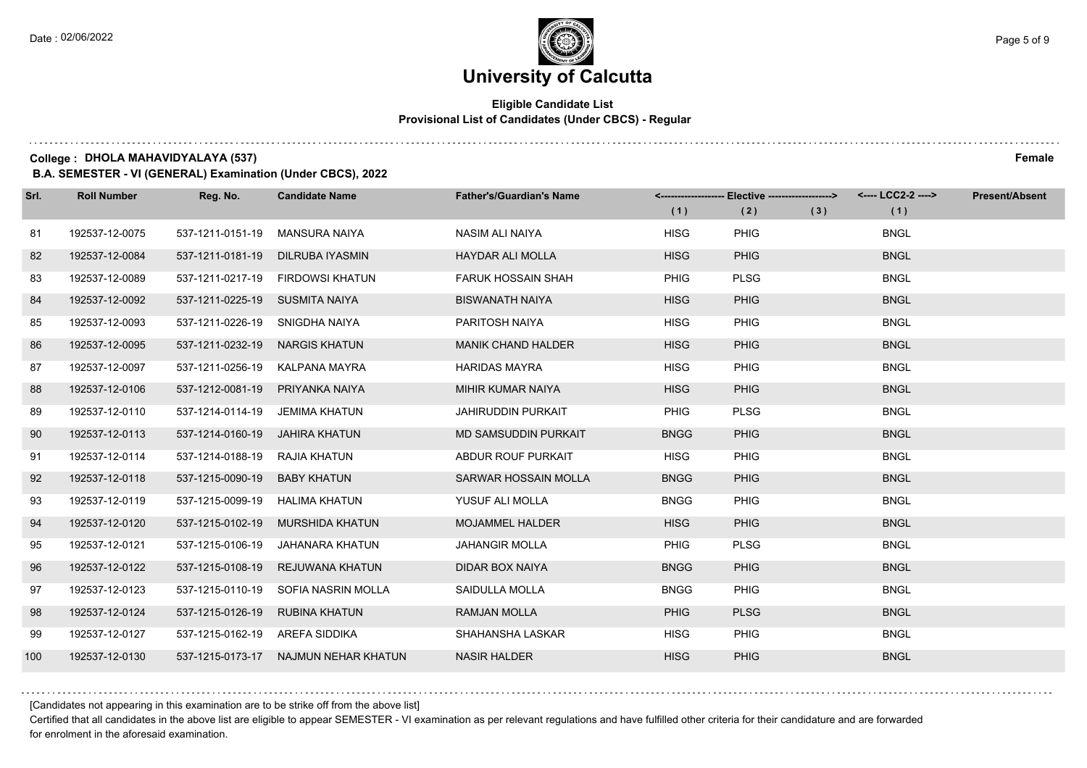#### **Eligible Candidate List Provisional List of Candidates (Under CBCS) - Regular**

**College : DHOLA MAHAVIDYALAYA (537) Female**

**B.A. SEMESTER - VI (GENERAL) Examination (Under CBCS), 2022**

| Srl. | <b>Roll Number</b> | Reg. No.                       | <b>Candidate Name</b>            | <b>Father's/Guardian's Name</b> | (1)         | <-------------------- Elective -------------------><br>(2) | (3) | (1)         | <b>Present/Absent</b> |
|------|--------------------|--------------------------------|----------------------------------|---------------------------------|-------------|------------------------------------------------------------|-----|-------------|-----------------------|
| 81   | 192537-12-0075     | 537-1211-0151-19               | MANSURA NAIYA                    | NASIM ALI NAIYA                 | <b>HISG</b> | <b>PHIG</b>                                                |     | <b>BNGL</b> |                       |
| 82   | 192537-12-0084     | 537-1211-0181-19               | DILRUBA IYASMIN                  | <b>HAYDAR ALI MOLLA</b>         | <b>HISG</b> | <b>PHIG</b>                                                |     | <b>BNGL</b> |                       |
| 83   | 192537-12-0089     |                                | 537-1211-0217-19 FIRDOWSI KHATUN | <b>FARUK HOSSAIN SHAH</b>       | PHIG        | <b>PLSG</b>                                                |     | <b>BNGL</b> |                       |
| 84   | 192537-12-0092     | 537-1211-0225-19 SUSMITA NAIYA |                                  | <b>BISWANATH NAIYA</b>          | <b>HISG</b> | <b>PHIG</b>                                                |     | <b>BNGL</b> |                       |
| 85   | 192537-12-0093     | 537-1211-0226-19               | SNIGDHA NAIYA                    | PARITOSH NAIYA                  | <b>HISG</b> | <b>PHIG</b>                                                |     | <b>BNGL</b> |                       |
| 86   | 192537-12-0095     | 537-1211-0232-19               | <b>NARGIS KHATUN</b>             | <b>MANIK CHAND HALDER</b>       | <b>HISG</b> | <b>PHIG</b>                                                |     | <b>BNGL</b> |                       |
| 87   | 192537-12-0097     | 537-1211-0256-19               | KALPANA MAYRA                    | <b>HARIDAS MAYRA</b>            | <b>HISG</b> | <b>PHIG</b>                                                |     | <b>BNGL</b> |                       |
| 88   | 192537-12-0106     | 537-1212-0081-19               | PRIYANKA NAIYA                   | MIHIR KUMAR NAIYA               | <b>HISG</b> | <b>PHIG</b>                                                |     | <b>BNGL</b> |                       |
| 89   | 192537-12-0110     | 537-1214-0114-19               | JEMIMA KHATUN                    | <b>JAHIRUDDIN PURKAIT</b>       | <b>PHIG</b> | <b>PLSG</b>                                                |     | <b>BNGL</b> |                       |
| 90   | 192537-12-0113     | 537-1214-0160-19               | JAHIRA KHATUN                    | <b>MD SAMSUDDIN PURKAIT</b>     | <b>BNGG</b> | <b>PHIG</b>                                                |     | <b>BNGL</b> |                       |
| 91   | 192537-12-0114     | 537-1214-0188-19               | RAJIA KHATUN                     | ABDUR ROUF PURKAIT              | <b>HISG</b> | <b>PHIG</b>                                                |     | <b>BNGL</b> |                       |
| 92   | 192537-12-0118     | 537-1215-0090-19               | <b>BABY KHATUN</b>               | SARWAR HOSSAIN MOLLA            | <b>BNGG</b> | <b>PHIG</b>                                                |     | <b>BNGL</b> |                       |
| 93   | 192537-12-0119     | 537-1215-0099-19               | HALIMA KHATUN                    | YUSUF ALI MOLLA                 | <b>BNGG</b> | <b>PHIG</b>                                                |     | <b>BNGL</b> |                       |
| 94   | 192537-12-0120     | 537-1215-0102-19               | <b>MURSHIDA KHATUN</b>           | <b>MOJAMMEL HALDER</b>          | <b>HISG</b> | <b>PHIG</b>                                                |     | <b>BNGL</b> |                       |
| 95   | 192537-12-0121     | 537-1215-0106-19               | JAHANARA KHATUN                  | <b>JAHANGIR MOLLA</b>           | <b>PHIG</b> | <b>PLSG</b>                                                |     | <b>BNGL</b> |                       |
| 96   | 192537-12-0122     | 537-1215-0108-19               | REJUWANA KHATUN                  | <b>DIDAR BOX NAIYA</b>          | <b>BNGG</b> | <b>PHIG</b>                                                |     | <b>BNGL</b> |                       |
| 97   | 192537-12-0123     | 537-1215-0110-19               | SOFIA NASRIN MOLLA               | SAIDULLA MOLLA                  | <b>BNGG</b> | <b>PHIG</b>                                                |     | <b>BNGL</b> |                       |
| 98   | 192537-12-0124     | 537-1215-0126-19               | <b>RUBINA KHATUN</b>             | <b>RAMJAN MOLLA</b>             | <b>PHIG</b> | <b>PLSG</b>                                                |     | <b>BNGL</b> |                       |
| 99   | 192537-12-0127     | 537-1215-0162-19 AREFA SIDDIKA |                                  | SHAHANSHA LASKAR                | <b>HISG</b> | <b>PHIG</b>                                                |     | <b>BNGL</b> |                       |
| 100  | 192537-12-0130     | 537-1215-0173-17               | NAJMUN NEHAR KHATUN              | <b>NASIR HALDER</b>             | <b>HISG</b> | <b>PHIG</b>                                                |     | <b>BNGL</b> |                       |

[Candidates not appearing in this examination are to be strike off from the above list]

Certified that all candidates in the above list are eligible to appear SEMESTER - VI examination as per relevant regulations and have fulfilled other criteria for their candidature and are forwarded for enrolment in the aforesaid examination.

. . . . . . . . . .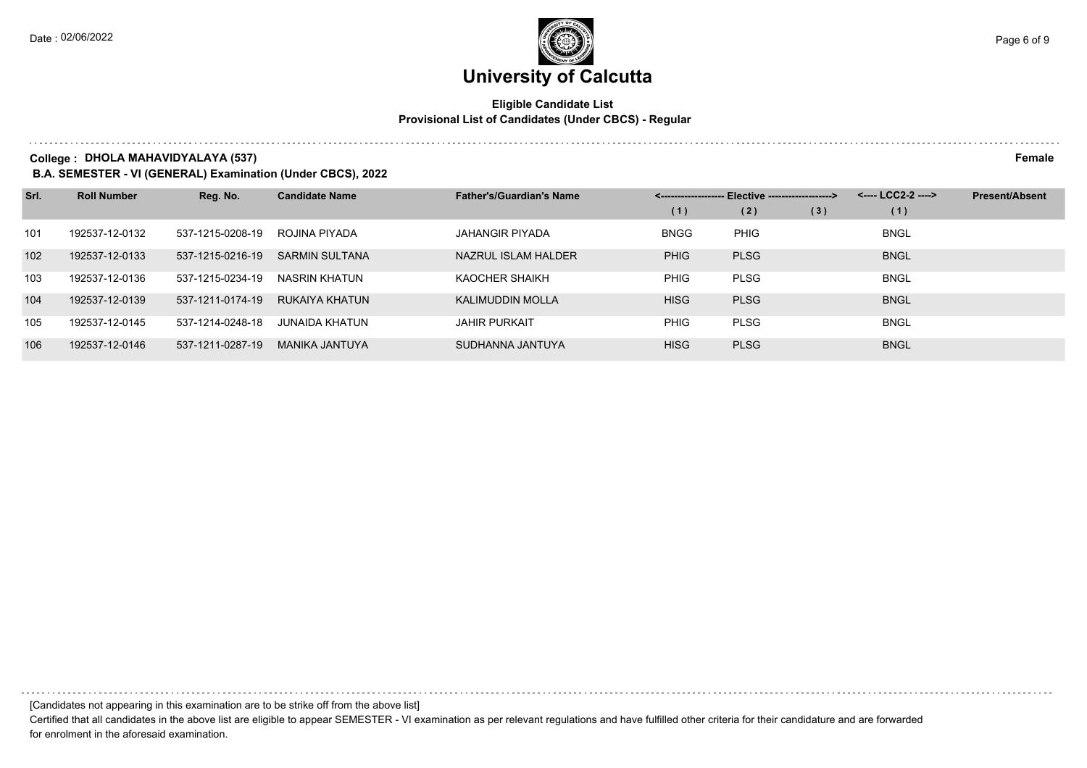#### **Eligible Candidate List Provisional List of Candidates (Under CBCS) - Regular**

**College : DHOLA MAHAVIDYALAYA (537) Female**

**B.A. SEMESTER - VI (GENERAL) Examination (Under CBCS), 2022**

| Srl. | <b>Roll Number</b> | Reg. No.         | <b>Candidate Name</b> | <b>Father's/Guardian's Name</b> | Elective -------------------> |             |     | <---- LCC2-2 ----> | <b>Present/Absent</b> |
|------|--------------------|------------------|-----------------------|---------------------------------|-------------------------------|-------------|-----|--------------------|-----------------------|
|      |                    |                  |                       |                                 | (1)                           | (2)         | (3) | (1)                |                       |
| 101  | 192537-12-0132     | 537-1215-0208-19 | ROJINA PIYADA         | JAHANGIR PIYADA                 | <b>BNGG</b>                   | <b>PHIG</b> |     | <b>BNGL</b>        |                       |
| 102  | 192537-12-0133     | 537-1215-0216-19 | <b>SARMIN SULTANA</b> | NAZRUL ISLAM HALDER             | <b>PHIG</b>                   | <b>PLSG</b> |     | <b>BNGL</b>        |                       |
| 103  | 192537-12-0136     | 537-1215-0234-19 | NASRIN KHATUN         | <b>KAOCHER SHAIKH</b>           | <b>PHIG</b>                   | <b>PLSG</b> |     | <b>BNGL</b>        |                       |
| 104  | 192537-12-0139     | 537-1211-0174-19 | RUKAIYA KHATUN        | KALIMUDDIN MOLLA                | <b>HISG</b>                   | <b>PLSG</b> |     | <b>BNGL</b>        |                       |
| 105  | 192537-12-0145     | 537-1214-0248-18 | <b>JUNAIDA KHATUN</b> | <b>JAHIR PURKAIT</b>            | <b>PHIG</b>                   | <b>PLSG</b> |     | <b>BNGL</b>        |                       |
| 106  | 192537-12-0146     | 537-1211-0287-19 | <b>MANIKA JANTUYA</b> | SUDHANNA JANTUYA                | <b>HISG</b>                   | <b>PLSG</b> |     | <b>BNGL</b>        |                       |

[Candidates not appearing in this examination are to be strike off from the above list]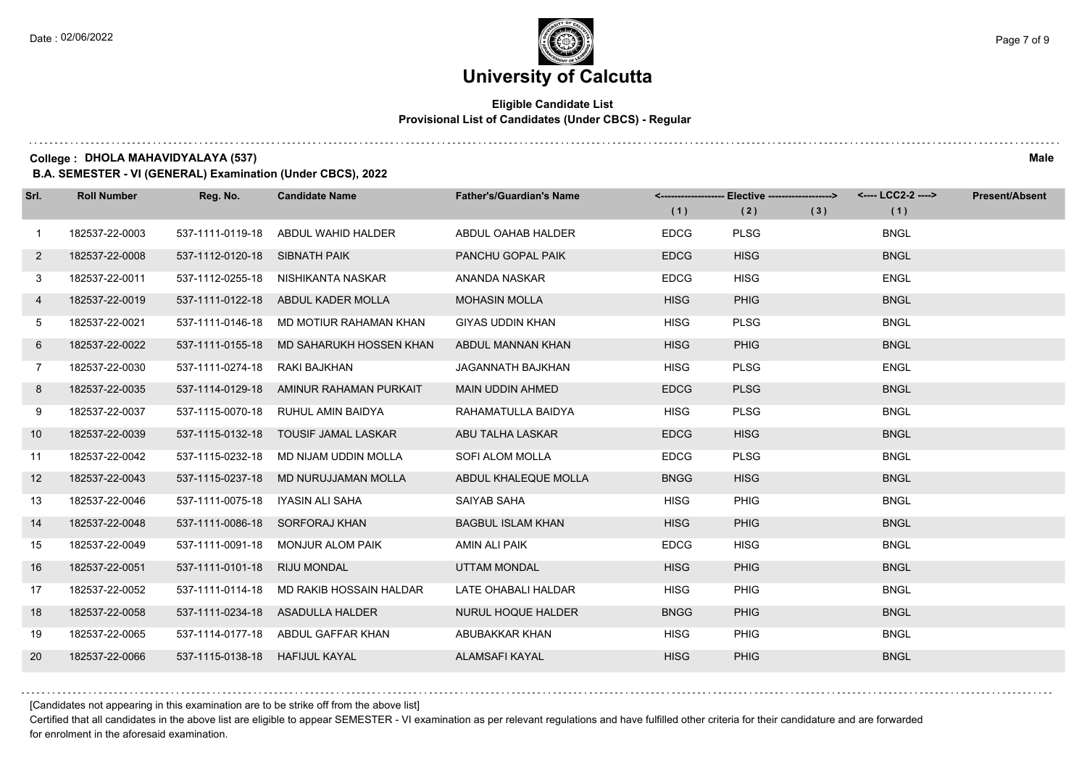#### **Eligible Candidate List Provisional List of Candidates (Under CBCS) - Regular**

**College : DHOLA MAHAVIDYALAYA (537) Male**

**B.A. SEMESTER - VI (GENERAL) Examination (Under CBCS), 2022**

| Srl.           | <b>Roll Number</b> | Reg. No.                       | <b>Candidate Name</b>                   | <b>Father's/Guardian's Name</b> |             | <-------------------- Elective ------------------> |     | <---- LCC2-2 ----> | <b>Present/Absent</b> |
|----------------|--------------------|--------------------------------|-----------------------------------------|---------------------------------|-------------|----------------------------------------------------|-----|--------------------|-----------------------|
|                |                    |                                |                                         |                                 | (1)         | (2)                                                | (3) | (1)                |                       |
| $\mathbf{1}$   | 182537-22-0003     | 537-1111-0119-18               | ABDUL WAHID HALDER                      | ABDUL OAHAB HALDER              | <b>EDCG</b> | <b>PLSG</b>                                        |     | <b>BNGL</b>        |                       |
| $\overline{2}$ | 182537-22-0008     | 537-1112-0120-18 SIBNATH PAIK  |                                         | PANCHU GOPAL PAIK               | <b>EDCG</b> | <b>HISG</b>                                        |     | <b>BNGL</b>        |                       |
| 3              | 182537-22-0011     | 537-1112-0255-18               | NISHIKANTA NASKAR                       | ANANDA NASKAR                   | <b>EDCG</b> | <b>HISG</b>                                        |     | <b>ENGL</b>        |                       |
| 4              | 182537-22-0019     |                                | 537-1111-0122-18 ABDUL KADER MOLLA      | <b>MOHASIN MOLLA</b>            | <b>HISG</b> | <b>PHIG</b>                                        |     | <b>BNGL</b>        |                       |
| 5              | 182537-22-0021     | 537-1111-0146-18               | MD MOTIUR RAHAMAN KHAN                  | <b>GIYAS UDDIN KHAN</b>         | <b>HISG</b> | <b>PLSG</b>                                        |     | <b>BNGL</b>        |                       |
| 6              | 182537-22-0022     | 537-1111-0155-18               | MD SAHARUKH HOSSEN KHAN                 | ABDUL MANNAN KHAN               | <b>HISG</b> | <b>PHIG</b>                                        |     | <b>BNGL</b>        |                       |
| $7\phantom{.}$ | 182537-22-0030     | 537-1111-0274-18               | RAKI BAJKHAN                            | <b>JAGANNATH BAJKHAN</b>        | <b>HISG</b> | <b>PLSG</b>                                        |     | <b>ENGL</b>        |                       |
| 8              | 182537-22-0035     |                                | 537-1114-0129-18 AMINUR RAHAMAN PURKAIT | <b>MAIN UDDIN AHMED</b>         | <b>EDCG</b> | <b>PLSG</b>                                        |     | <b>BNGL</b>        |                       |
| 9              | 182537-22-0037     | 537-1115-0070-18               | RUHUL AMIN BAIDYA                       | RAHAMATULLA BAIDYA              | <b>HISG</b> | <b>PLSG</b>                                        |     | <b>BNGL</b>        |                       |
| 10             | 182537-22-0039     | 537-1115-0132-18               | <b>TOUSIF JAMAL LASKAR</b>              | ABU TALHA LASKAR                | <b>EDCG</b> | <b>HISG</b>                                        |     | <b>BNGL</b>        |                       |
| 11             | 182537-22-0042     | 537-1115-0232-18               | MD NIJAM UDDIN MOLLA                    | SOFI ALOM MOLLA                 | <b>EDCG</b> | <b>PLSG</b>                                        |     | <b>BNGL</b>        |                       |
| 12             | 182537-22-0043     | 537-1115-0237-18               | MD NURUJJAMAN MOLLA                     | ABDUL KHALEQUE MOLLA            | <b>BNGG</b> | <b>HISG</b>                                        |     | <b>BNGL</b>        |                       |
| 13             | 182537-22-0046     | 537-1111-0075-18               | IYASIN ALI SAHA                         | SAIYAB SAHA                     | <b>HISG</b> | <b>PHIG</b>                                        |     | <b>BNGL</b>        |                       |
| 14             | 182537-22-0048     |                                | 537-1111-0086-18 SORFORAJ KHAN          | <b>BAGBUL ISLAM KHAN</b>        | <b>HISG</b> | <b>PHIG</b>                                        |     | <b>BNGL</b>        |                       |
| 15             | 182537-22-0049     | 537-1111-0091-18               | MONJUR ALOM PAIK                        | <b>AMIN ALI PAIK</b>            | <b>EDCG</b> | <b>HISG</b>                                        |     | <b>BNGL</b>        |                       |
| 16             | 182537-22-0051     | 537-1111-0101-18               | <b>RIJU MONDAL</b>                      | <b>UTTAM MONDAL</b>             | <b>HISG</b> | <b>PHIG</b>                                        |     | <b>BNGL</b>        |                       |
| 17             | 182537-22-0052     | 537-1111-0114-18               | MD RAKIB HOSSAIN HALDAR                 | LATE OHABALI HALDAR             | <b>HISG</b> | <b>PHIG</b>                                        |     | <b>BNGL</b>        |                       |
| 18             | 182537-22-0058     |                                | 537-1111-0234-18 ASADULLA HALDER        | NURUL HOQUE HALDER              | <b>BNGG</b> | <b>PHIG</b>                                        |     | <b>BNGL</b>        |                       |
| 19             | 182537-22-0065     |                                | 537-1114-0177-18 ABDUL GAFFAR KHAN      | ABUBAKKAR KHAN                  | <b>HISG</b> | <b>PHIG</b>                                        |     | <b>BNGL</b>        |                       |
| 20             | 182537-22-0066     | 537-1115-0138-18 HAFIJUL KAYAL |                                         | <b>ALAMSAFI KAYAL</b>           | <b>HISG</b> | <b>PHIG</b>                                        |     | <b>BNGL</b>        |                       |

[Candidates not appearing in this examination are to be strike off from the above list]

Certified that all candidates in the above list are eligible to appear SEMESTER - VI examination as per relevant regulations and have fulfilled other criteria for their candidature and are forwarded for enrolment in the aforesaid examination.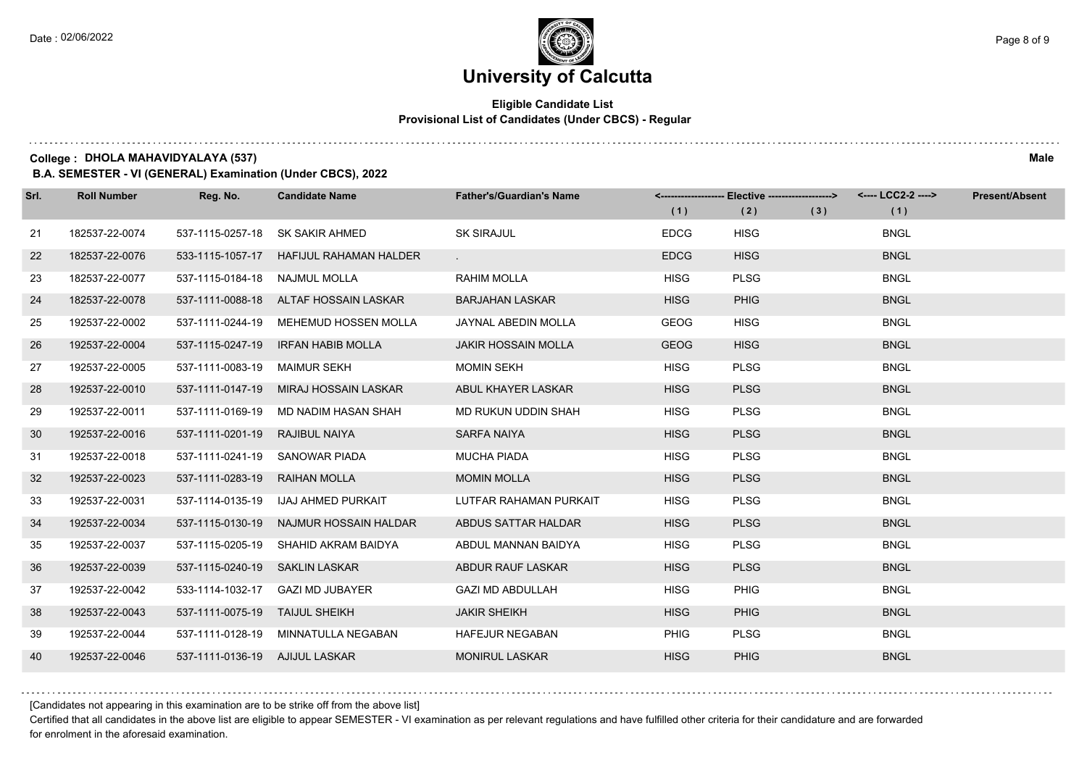#### **Eligible Candidate List Provisional List of Candidates (Under CBCS) - Regular**

**College : DHOLA MAHAVIDYALAYA (537) Male**

**B.A. SEMESTER - VI (GENERAL) Examination (Under CBCS), 2022**

| Srl. | <b>Roll Number</b> | Reg. No.                       | <b>Candidate Name</b>                   | <b>Father's/Guardian's Name</b> | (1)         | <-------------------- Elective ------------------><br>(2) | (3) | <---- LCC2-2 ----><br>(1) | <b>Present/Absent</b> |
|------|--------------------|--------------------------------|-----------------------------------------|---------------------------------|-------------|-----------------------------------------------------------|-----|---------------------------|-----------------------|
| 21   | 182537-22-0074     | 537-1115-0257-18               | SK SAKIR AHMED                          | <b>SK SIRAJUL</b>               | <b>EDCG</b> | <b>HISG</b>                                               |     | <b>BNGL</b>               |                       |
| 22   | 182537-22-0076     |                                | 533-1115-1057-17 HAFIJUL RAHAMAN HALDER |                                 | <b>EDCG</b> | <b>HISG</b>                                               |     | <b>BNGL</b>               |                       |
| 23   | 182537-22-0077     | 537-1115-0184-18 NAJMUL MOLLA  |                                         | <b>RAHIM MOLLA</b>              | <b>HISG</b> | <b>PLSG</b>                                               |     | <b>BNGL</b>               |                       |
| 24   | 182537-22-0078     |                                | 537-1111-0088-18 ALTAF HOSSAIN LASKAR   | <b>BARJAHAN LASKAR</b>          | <b>HISG</b> | <b>PHIG</b>                                               |     | <b>BNGL</b>               |                       |
| 25   | 192537-22-0002     | 537-1111-0244-19               | MEHEMUD HOSSEN MOLLA                    | JAYNAL ABEDIN MOLLA             | <b>GEOG</b> | <b>HISG</b>                                               |     | <b>BNGL</b>               |                       |
| 26   | 192537-22-0004     | 537-1115-0247-19               | <b>IRFAN HABIB MOLLA</b>                | <b>JAKIR HOSSAIN MOLLA</b>      | <b>GEOG</b> | <b>HISG</b>                                               |     | <b>BNGL</b>               |                       |
| 27   | 192537-22-0005     | 537-1111-0083-19 MAIMUR SEKH   |                                         | <b>MOMIN SEKH</b>               | <b>HISG</b> | <b>PLSG</b>                                               |     | <b>BNGL</b>               |                       |
| 28   | 192537-22-0010     |                                | 537-1111-0147-19 MIRAJ HOSSAIN LASKAR   | ABUL KHAYER LASKAR              | <b>HISG</b> | <b>PLSG</b>                                               |     | <b>BNGL</b>               |                       |
| 29   | 192537-22-0011     | 537-1111-0169-19               | MD NADIM HASAN SHAH                     | MD RUKUN UDDIN SHAH             | <b>HISG</b> | <b>PLSG</b>                                               |     | <b>BNGL</b>               |                       |
| 30   | 192537-22-0016     | 537-1111-0201-19               | RAJIBUL NAIYA                           | <b>SARFA NAIYA</b>              | <b>HISG</b> | <b>PLSG</b>                                               |     | <b>BNGL</b>               |                       |
| 31   | 192537-22-0018     |                                | 537-1111-0241-19 SANOWAR PIADA          | <b>MUCHA PIADA</b>              | <b>HISG</b> | <b>PLSG</b>                                               |     | <b>BNGL</b>               |                       |
| 32   | 192537-22-0023     | 537-1111-0283-19               | <b>RAIHAN MOLLA</b>                     | <b>MOMIN MOLLA</b>              | <b>HISG</b> | <b>PLSG</b>                                               |     | <b>BNGL</b>               |                       |
| 33   | 192537-22-0031     | 537-1114-0135-19               | IJAJ AHMED PURKAIT                      | LUTFAR RAHAMAN PURKAIT          | <b>HISG</b> | <b>PLSG</b>                                               |     | <b>BNGL</b>               |                       |
| 34   | 192537-22-0034     | 537-1115-0130-19               | NAJMUR HOSSAIN HALDAR                   | ABDUS SATTAR HALDAR             | <b>HISG</b> | <b>PLSG</b>                                               |     | <b>BNGL</b>               |                       |
| 35   | 192537-22-0037     |                                | 537-1115-0205-19 SHAHID AKRAM BAIDYA    | ABDUL MANNAN BAIDYA             | <b>HISG</b> | <b>PLSG</b>                                               |     | <b>BNGL</b>               |                       |
| 36   | 192537-22-0039     | 537-1115-0240-19 SAKLIN LASKAR |                                         | ABDUR RAUF LASKAR               | <b>HISG</b> | <b>PLSG</b>                                               |     | <b>BNGL</b>               |                       |
| 37   | 192537-22-0042     | 533-1114-1032-17               | <b>GAZI MD JUBAYER</b>                  | <b>GAZI MD ABDULLAH</b>         | <b>HISG</b> | <b>PHIG</b>                                               |     | <b>BNGL</b>               |                       |
| 38   | 192537-22-0043     | 537-1111-0075-19 TAIJUL SHEIKH |                                         | <b>JAKIR SHEIKH</b>             | <b>HISG</b> | <b>PHIG</b>                                               |     | <b>BNGL</b>               |                       |
| 39   | 192537-22-0044     |                                | 537-1111-0128-19 MINNATULLA NEGABAN     | <b>HAFEJUR NEGABAN</b>          | <b>PHIG</b> | <b>PLSG</b>                                               |     | <b>BNGL</b>               |                       |
| 40   | 192537-22-0046     | 537-1111-0136-19 AJIJUL LASKAR |                                         | <b>MONIRUL LASKAR</b>           | <b>HISG</b> | <b>PHIG</b>                                               |     | <b>BNGL</b>               |                       |

[Candidates not appearing in this examination are to be strike off from the above list]

Certified that all candidates in the above list are eligible to appear SEMESTER - VI examination as per relevant regulations and have fulfilled other criteria for their candidature and are forwarded for enrolment in the aforesaid examination.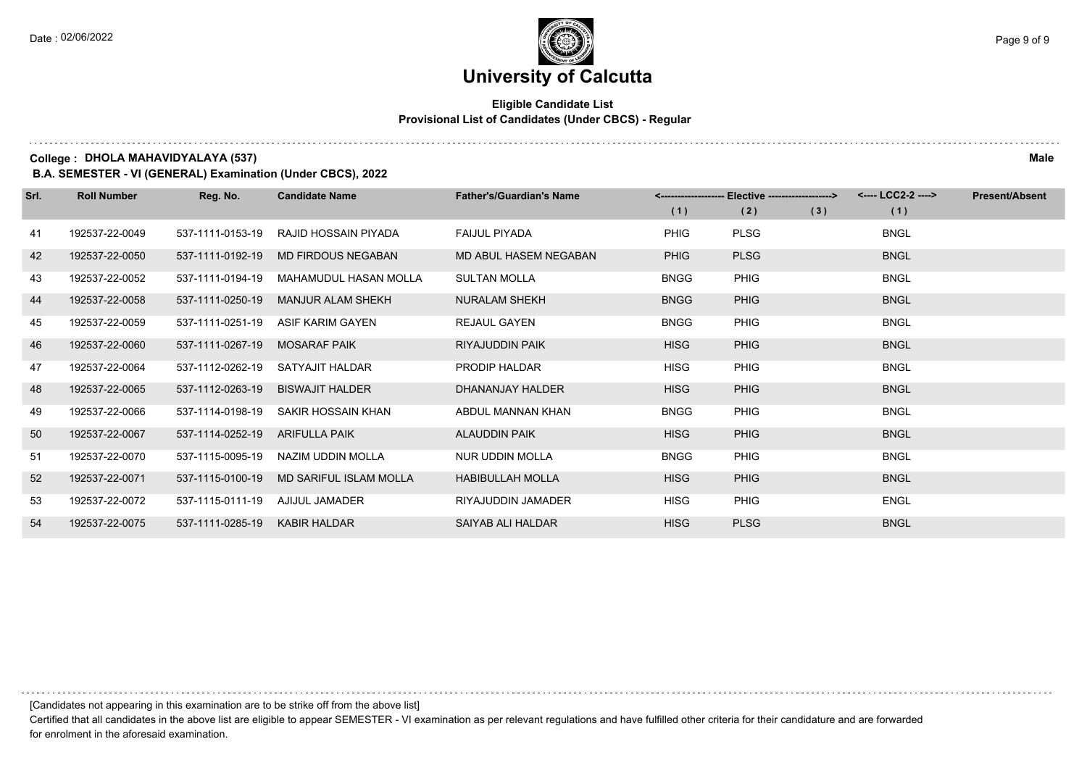#### **Eligible Candidate List Provisional List of Candidates (Under CBCS) - Regular**

**College : DHOLA MAHAVIDYALAYA (537) Male**

**B.A. SEMESTER - VI (GENERAL) Examination (Under CBCS), 2022**

| Srl. | <b>Roll Number</b> | Reg. No.         | <b>Candidate Name</b>         | <b>Father's/Guardian's Name</b> |             | <-------------------- Elective -------------------> |     | <---- LCC2-2 ----> | <b>Present/Absent</b> |
|------|--------------------|------------------|-------------------------------|---------------------------------|-------------|-----------------------------------------------------|-----|--------------------|-----------------------|
|      |                    |                  |                               |                                 | (1)         | (2)                                                 | (3) | (1)                |                       |
| 41   | 192537-22-0049     | 537-1111-0153-19 | RAJID HOSSAIN PIYADA          | <b>FAIJUL PIYADA</b>            | <b>PHIG</b> | <b>PLSG</b>                                         |     | <b>BNGL</b>        |                       |
| 42   | 192537-22-0050     | 537-1111-0192-19 | <b>MD FIRDOUS NEGABAN</b>     | MD ABUL HASEM NEGABAN           | <b>PHIG</b> | <b>PLSG</b>                                         |     | <b>BNGL</b>        |                       |
| 43   | 192537-22-0052     | 537-1111-0194-19 | MAHAMUDUL HASAN MOLLA         | <b>SULTAN MOLLA</b>             | <b>BNGG</b> | <b>PHIG</b>                                         |     | <b>BNGL</b>        |                       |
| 44   | 192537-22-0058     | 537-1111-0250-19 | <b>MANJUR ALAM SHEKH</b>      | <b>NURALAM SHEKH</b>            | <b>BNGG</b> | <b>PHIG</b>                                         |     | <b>BNGL</b>        |                       |
| 45   | 192537-22-0059     | 537-1111-0251-19 | <b>ASIF KARIM GAYEN</b>       | <b>REJAUL GAYEN</b>             | <b>BNGG</b> | <b>PHIG</b>                                         |     | <b>BNGL</b>        |                       |
| 46   | 192537-22-0060     | 537-1111-0267-19 | <b>MOSARAF PAIK</b>           | <b>RIYAJUDDIN PAIK</b>          | <b>HISG</b> | <b>PHIG</b>                                         |     | <b>BNGL</b>        |                       |
| 47   | 192537-22-0064     | 537-1112-0262-19 | SATYAJIT HALDAR               | PRODIP HALDAR                   | <b>HISG</b> | <b>PHIG</b>                                         |     | <b>BNGL</b>        |                       |
| 48   | 192537-22-0065     | 537-1112-0263-19 | <b>BISWAJIT HALDER</b>        | DHANANJAY HALDER                | <b>HISG</b> | <b>PHIG</b>                                         |     | <b>BNGL</b>        |                       |
| 49   | 192537-22-0066     | 537-1114-0198-19 | SAKIR HOSSAIN KHAN            | ABDUL MANNAN KHAN               | <b>BNGG</b> | <b>PHIG</b>                                         |     | <b>BNGL</b>        |                       |
| 50   | 192537-22-0067     | 537-1114-0252-19 | <b>ARIFULLA PAIK</b>          | <b>ALAUDDIN PAIK</b>            | <b>HISG</b> | <b>PHIG</b>                                         |     | <b>BNGL</b>        |                       |
| 51   | 192537-22-0070     | 537-1115-0095-19 | NAZIM UDDIN MOLLA             | NUR UDDIN MOLLA                 | <b>BNGG</b> | <b>PHIG</b>                                         |     | <b>BNGL</b>        |                       |
| 52   | 192537-22-0071     | 537-1115-0100-19 | <b>MD SARIFUL ISLAM MOLLA</b> | <b>HABIBULLAH MOLLA</b>         | <b>HISG</b> | <b>PHIG</b>                                         |     | <b>BNGL</b>        |                       |
| 53   | 192537-22-0072     | 537-1115-0111-19 | AJIJUL JAMADER                | RIYAJUDDIN JAMADER              | <b>HISG</b> | <b>PHIG</b>                                         |     | <b>ENGL</b>        |                       |
| 54   | 192537-22-0075     | 537-1111-0285-19 | <b>KABIR HALDAR</b>           | SAIYAB ALI HALDAR               | <b>HISG</b> | <b>PLSG</b>                                         |     | <b>BNGL</b>        |                       |

[Candidates not appearing in this examination are to be strike off from the above list]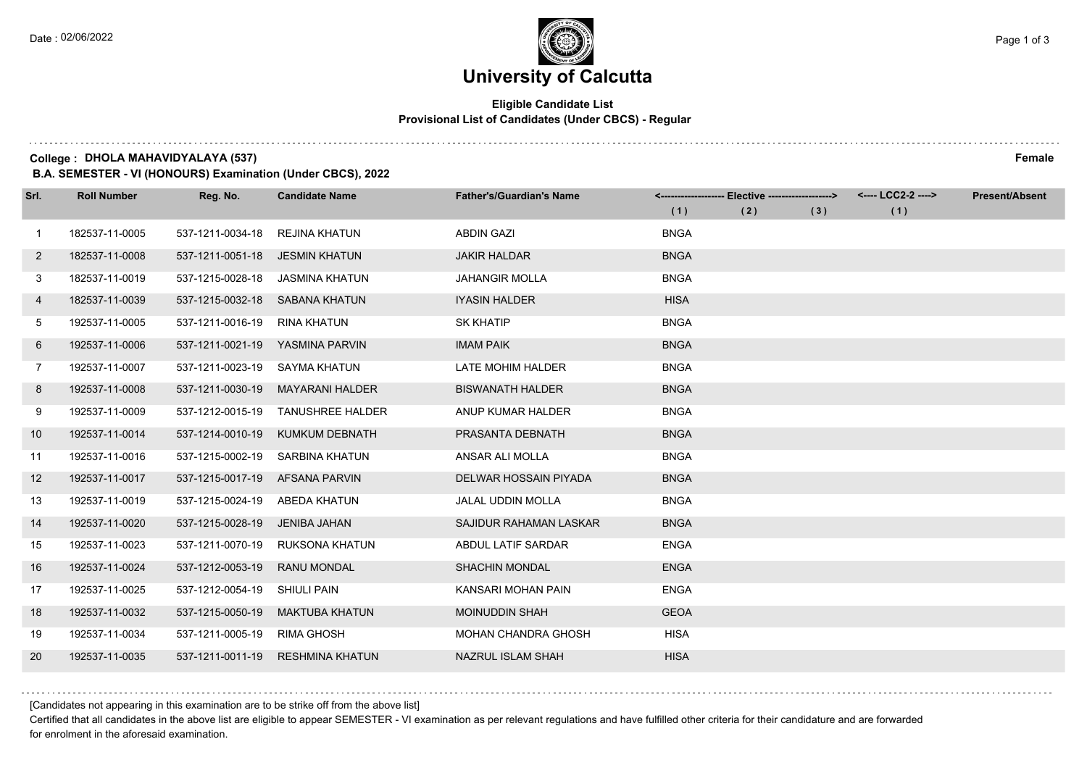# **University of Calcutta**

#### **Eligible Candidate List Provisional List of Candidates (Under CBCS) - Regular**

**College : DHOLA MAHAVIDYALAYA (537) Female**

**B.A. SEMESTER - VI (HONOURS) Examination (Under CBCS), 2022**

| Srl.           | <b>Roll Number</b> | Reg. No.         | <b>Candidate Name</b>   | <b>Father's/Guardian's Name</b> |             | <------------------- Elective ------------------> |     | <---- LCC2-2 ----> | <b>Present/Absent</b> |
|----------------|--------------------|------------------|-------------------------|---------------------------------|-------------|---------------------------------------------------|-----|--------------------|-----------------------|
|                |                    |                  |                         |                                 | (1)         | (2)                                               | (3) | (1)                |                       |
| $\overline{1}$ | 182537-11-0005     | 537-1211-0034-18 | <b>REJINA KHATUN</b>    | <b>ABDIN GAZI</b>               | <b>BNGA</b> |                                                   |     |                    |                       |
| $\overline{2}$ | 182537-11-0008     | 537-1211-0051-18 | <b>JESMIN KHATUN</b>    | <b>JAKIR HALDAR</b>             | <b>BNGA</b> |                                                   |     |                    |                       |
| 3              | 182537-11-0019     | 537-1215-0028-18 | JASMINA KHATUN          | <b>JAHANGIR MOLLA</b>           | <b>BNGA</b> |                                                   |     |                    |                       |
| 4              | 182537-11-0039     | 537-1215-0032-18 | SABANA KHATUN           | <b>IYASIN HALDER</b>            | <b>HISA</b> |                                                   |     |                    |                       |
| 5              | 192537-11-0005     | 537-1211-0016-19 | <b>RINA KHATUN</b>      | <b>SK KHATIP</b>                | <b>BNGA</b> |                                                   |     |                    |                       |
| 6              | 192537-11-0006     | 537-1211-0021-19 | YASMINA PARVIN          | <b>IMAM PAIK</b>                | <b>BNGA</b> |                                                   |     |                    |                       |
| $\overline{7}$ | 192537-11-0007     | 537-1211-0023-19 | SAYMA KHATUN            | LATE MOHIM HALDER               | <b>BNGA</b> |                                                   |     |                    |                       |
| 8              | 192537-11-0008     | 537-1211-0030-19 | MAYARANI HALDER         | <b>BISWANATH HALDER</b>         | <b>BNGA</b> |                                                   |     |                    |                       |
| 9              | 192537-11-0009     | 537-1212-0015-19 | <b>TANUSHREE HALDER</b> | ANUP KUMAR HALDER               | <b>BNGA</b> |                                                   |     |                    |                       |
| 10             | 192537-11-0014     | 537-1214-0010-19 | <b>KUMKUM DEBNATH</b>   | PRASANTA DEBNATH                | <b>BNGA</b> |                                                   |     |                    |                       |
| 11             | 192537-11-0016     | 537-1215-0002-19 | SARBINA KHATUN          | ANSAR ALI MOLLA                 | <b>BNGA</b> |                                                   |     |                    |                       |
| 12             | 192537-11-0017     | 537-1215-0017-19 | AFSANA PARVIN           | DELWAR HOSSAIN PIYADA           | <b>BNGA</b> |                                                   |     |                    |                       |
| 13             | 192537-11-0019     | 537-1215-0024-19 | <b>ABEDA KHATUN</b>     | <b>JALAL UDDIN MOLLA</b>        | <b>BNGA</b> |                                                   |     |                    |                       |
| 14             | 192537-11-0020     | 537-1215-0028-19 | JENIBA JAHAN            | SAJIDUR RAHAMAN LASKAR          | <b>BNGA</b> |                                                   |     |                    |                       |
| 15             | 192537-11-0023     | 537-1211-0070-19 | RUKSONA KHATUN          | ABDUL LATIF SARDAR              | <b>ENGA</b> |                                                   |     |                    |                       |
| 16             | 192537-11-0024     | 537-1212-0053-19 | <b>RANU MONDAL</b>      | <b>SHACHIN MONDAL</b>           | <b>ENGA</b> |                                                   |     |                    |                       |
| 17             | 192537-11-0025     | 537-1212-0054-19 | <b>SHIULI PAIN</b>      | KANSARI MOHAN PAIN              | <b>ENGA</b> |                                                   |     |                    |                       |
| 18             | 192537-11-0032     | 537-1215-0050-19 | <b>MAKTUBA KHATUN</b>   | <b>MOINUDDIN SHAH</b>           | <b>GEOA</b> |                                                   |     |                    |                       |
| 19             | 192537-11-0034     | 537-1211-0005-19 | <b>RIMA GHOSH</b>       | <b>MOHAN CHANDRA GHOSH</b>      | <b>HISA</b> |                                                   |     |                    |                       |
| 20             | 192537-11-0035     | 537-1211-0011-19 | <b>RESHMINA KHATUN</b>  | NAZRUL ISLAM SHAH               | <b>HISA</b> |                                                   |     |                    |                       |

[Candidates not appearing in this examination are to be strike off from the above list]

Certified that all candidates in the above list are eligible to appear SEMESTER - VI examination as per relevant regulations and have fulfilled other criteria for their candidature and are forwarded for enrolment in the aforesaid examination.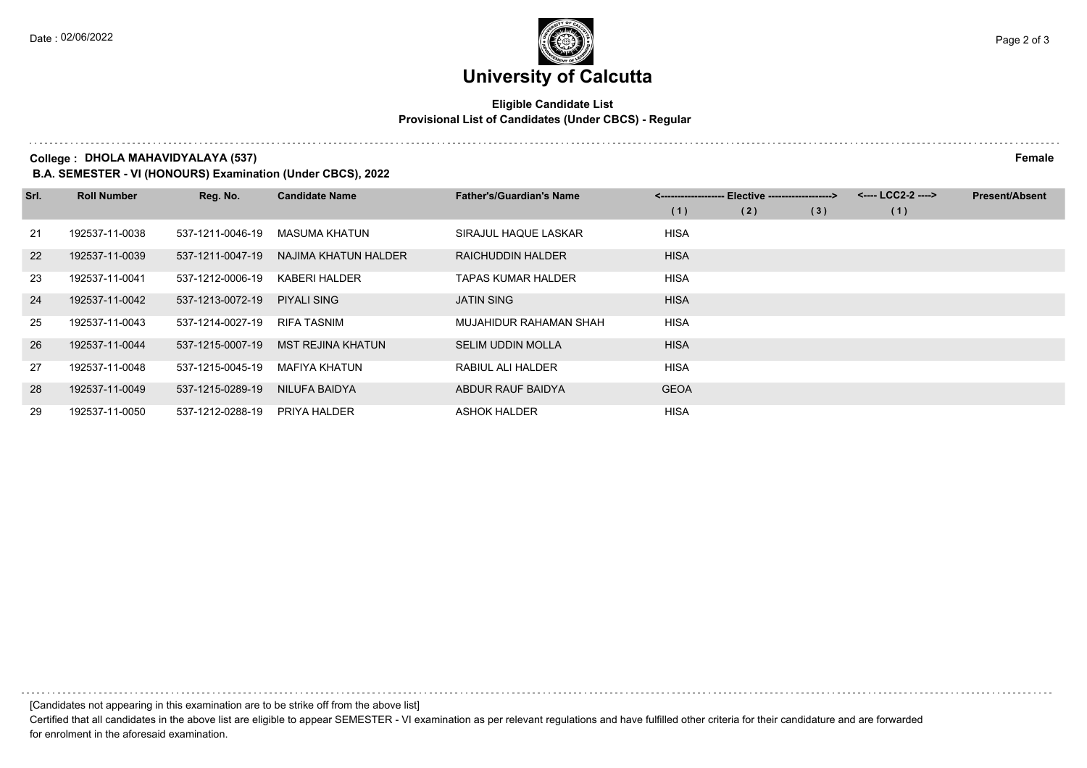#### **Eligible Candidate List Provisional List of Candidates (Under CBCS) - Regular**

**College : DHOLA MAHAVIDYALAYA (537) Female**

**B.A. SEMESTER - VI (HONOURS) Examination (Under CBCS), 2022**

| Srl. | <b>Roll Number</b> | Reg. No.         | <b>Candidate Name</b>    | <b>Father's/Guardian's Name</b> | <-------------------- Elective -------------------> |     |     | <---- LCC2-2 ----> | <b>Present/Absent</b> |
|------|--------------------|------------------|--------------------------|---------------------------------|-----------------------------------------------------|-----|-----|--------------------|-----------------------|
|      |                    |                  |                          |                                 | (1)                                                 | (2) | (3) | (1)                |                       |
| 21   | 192537-11-0038     | 537-1211-0046-19 | MASUMA KHATUN            | SIRAJUL HAQUE LASKAR            | <b>HISA</b>                                         |     |     |                    |                       |
| 22   | 192537-11-0039     | 537-1211-0047-19 | NAJIMA KHATUN HALDER     | RAICHUDDIN HALDER               | <b>HISA</b>                                         |     |     |                    |                       |
| 23   | 192537-11-0041     | 537-1212-0006-19 | KABERI HALDER            | <b>TAPAS KUMAR HALDER</b>       | <b>HISA</b>                                         |     |     |                    |                       |
| 24   | 192537-11-0042     | 537-1213-0072-19 | <b>PIYALI SING</b>       | <b>JATIN SING</b>               | <b>HISA</b>                                         |     |     |                    |                       |
| 25   | 192537-11-0043     | 537-1214-0027-19 | RIFA TASNIM              | MUJAHIDUR RAHAMAN SHAH          | <b>HISA</b>                                         |     |     |                    |                       |
| 26   | 192537-11-0044     | 537-1215-0007-19 | <b>MST REJINA KHATUN</b> | <b>SELIM UDDIN MOLLA</b>        | <b>HISA</b>                                         |     |     |                    |                       |
| 27   | 192537-11-0048     | 537-1215-0045-19 | MAFIYA KHATUN            | RABIUL ALI HALDER               | <b>HISA</b>                                         |     |     |                    |                       |
| 28   | 192537-11-0049     | 537-1215-0289-19 | NILUFA BAIDYA            | ABDUR RAUF BAIDYA               | <b>GEOA</b>                                         |     |     |                    |                       |
| 29   | 192537-11-0050     | 537-1212-0288-19 | PRIYA HALDER             | <b>ASHOK HALDER</b>             | <b>HISA</b>                                         |     |     |                    |                       |

[Candidates not appearing in this examination are to be strike off from the above list]